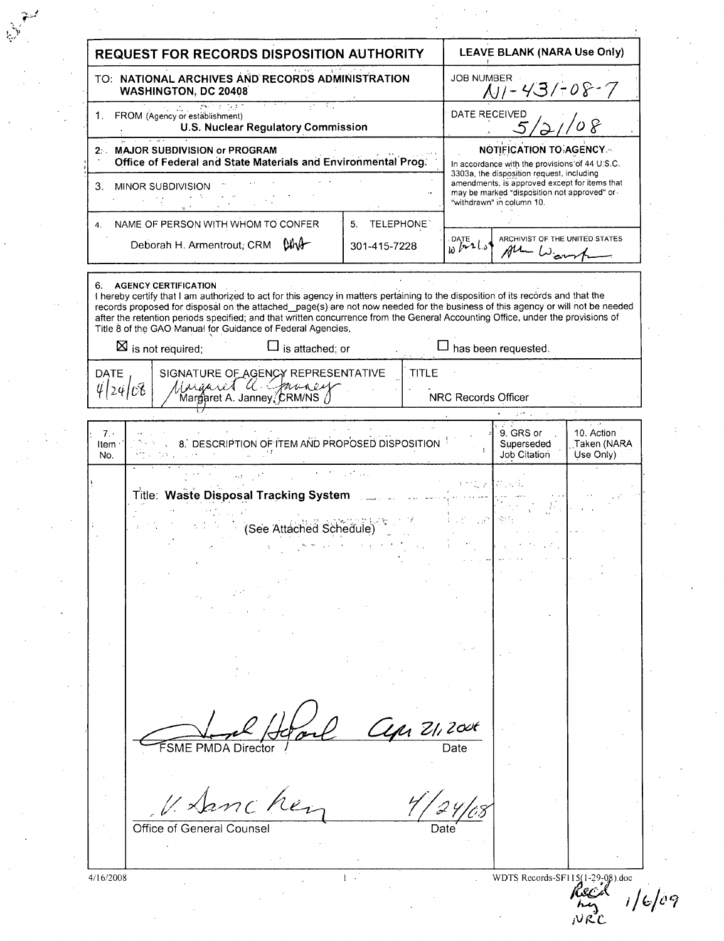| REQUEST FOR RECORDS DISPOSITION AUTHORITY                                                             |                                                                                                                                                                                                                                                                                                                   |              |                     | <b>LEAVE BLANK (NARA Use Only)</b>                                                                                           |                                        |  |
|-------------------------------------------------------------------------------------------------------|-------------------------------------------------------------------------------------------------------------------------------------------------------------------------------------------------------------------------------------------------------------------------------------------------------------------|--------------|---------------------|------------------------------------------------------------------------------------------------------------------------------|----------------------------------------|--|
| TO: NATIONAL ARCHIVES AND RECORDS ADMINISTRATION<br><b>WASHINGTON, DC 20408</b>                       |                                                                                                                                                                                                                                                                                                                   |              |                     | <b>JOB NUMBER</b><br>$11-431-08-7$                                                                                           |                                        |  |
| ਕਿਸਾਨ (ਸ਼੍ਰੇਗਰ<br>FROM (Agency or establishment)<br>$1_{\cdot}$<br>U.S. Nuclear Regulatory Commission |                                                                                                                                                                                                                                                                                                                   |              |                     | DATE RECEIVED<br>$\sigma$ /                                                                                                  |                                        |  |
|                                                                                                       | 2 MAJOR SUBDIVISION or PROGRAM<br>Office of Federal and State Materials and Environmental Prog.                                                                                                                                                                                                                   |              |                     | <b>NOTIFICATION TO AGENCY</b><br>In accordance with the provisions of 44 U.S.C.<br>3303a, the disposition request, including |                                        |  |
| 3.                                                                                                    | MINOR SUBDIVISION                                                                                                                                                                                                                                                                                                 |              |                     | amendments, is approved except for items that<br>may be marked "disposition not approved" or-<br>"withdrawn" in column 10.   |                                        |  |
| 4.                                                                                                    | NAME OF PERSON WITH WHOM TO CONFER                                                                                                                                                                                                                                                                                | 5. TELEPHONE |                     |                                                                                                                              |                                        |  |
| Deborah H. Armentrout, CRM Und<br>301-415-7228                                                        |                                                                                                                                                                                                                                                                                                                   |              | $W^{DATE}$          | ARCHIVIST OF THE UNITED STATES<br>Alle Warry                                                                                 |                                        |  |
| <b>DATE</b><br>4/24/08                                                                                | after the retention periods specified; and that written concurrence from the General Accounting Office, under the provisions of<br>Title 8 of the GAO Manual for Guidance of Federal Agencies,<br>$\Box$ is attached; or<br>$\boxtimes$ is not required;<br>SIGNATURE OF AGENCY REPRESENTATIVE<br>Muincet a James | <b>TITLE</b> | NRC Records Officer | $\square$ has been requested.                                                                                                |                                        |  |
|                                                                                                       |                                                                                                                                                                                                                                                                                                                   |              |                     | $\mathcal{L}^{\rm SFR}$ , $\mathcal{L}^{\rm S}$<br>ತ್ರ                                                                       |                                        |  |
| 7.1<br>Item :<br>No.                                                                                  | 8. DESCRIPTION OF ITEM AND PROPOSED DISPOSITION<br>ウィーフロッシュ                                                                                                                                                                                                                                                       |              |                     | 9. GRS or<br>Superseded<br>Job Citation                                                                                      | 10. Action<br>Taken (NARA<br>Use Only) |  |
|                                                                                                       |                                                                                                                                                                                                                                                                                                                   |              | 大学で 不良 にっぽん         |                                                                                                                              |                                        |  |
|                                                                                                       | Title: Waste Disposal Tracking System                                                                                                                                                                                                                                                                             |              |                     |                                                                                                                              |                                        |  |
|                                                                                                       |                                                                                                                                                                                                                                                                                                                   |              |                     |                                                                                                                              |                                        |  |
|                                                                                                       | (See Attached Schedule)                                                                                                                                                                                                                                                                                           |              |                     |                                                                                                                              |                                        |  |
|                                                                                                       |                                                                                                                                                                                                                                                                                                                   |              |                     |                                                                                                                              |                                        |  |
|                                                                                                       |                                                                                                                                                                                                                                                                                                                   |              |                     |                                                                                                                              |                                        |  |
|                                                                                                       |                                                                                                                                                                                                                                                                                                                   |              |                     |                                                                                                                              |                                        |  |
|                                                                                                       |                                                                                                                                                                                                                                                                                                                   |              |                     |                                                                                                                              |                                        |  |
|                                                                                                       |                                                                                                                                                                                                                                                                                                                   |              |                     |                                                                                                                              |                                        |  |
|                                                                                                       |                                                                                                                                                                                                                                                                                                                   |              |                     |                                                                                                                              |                                        |  |
|                                                                                                       |                                                                                                                                                                                                                                                                                                                   |              |                     |                                                                                                                              |                                        |  |
|                                                                                                       |                                                                                                                                                                                                                                                                                                                   |              |                     |                                                                                                                              |                                        |  |
|                                                                                                       |                                                                                                                                                                                                                                                                                                                   |              |                     |                                                                                                                              |                                        |  |
|                                                                                                       |                                                                                                                                                                                                                                                                                                                   |              |                     |                                                                                                                              |                                        |  |
|                                                                                                       |                                                                                                                                                                                                                                                                                                                   | 24.2006      |                     |                                                                                                                              |                                        |  |
|                                                                                                       | FSME PMDA Director                                                                                                                                                                                                                                                                                                |              | Date                |                                                                                                                              |                                        |  |
|                                                                                                       |                                                                                                                                                                                                                                                                                                                   |              |                     |                                                                                                                              |                                        |  |
|                                                                                                       |                                                                                                                                                                                                                                                                                                                   |              |                     |                                                                                                                              |                                        |  |
|                                                                                                       | Sanc her                                                                                                                                                                                                                                                                                                          |              |                     |                                                                                                                              |                                        |  |
|                                                                                                       | Office of General Counse                                                                                                                                                                                                                                                                                          |              | Date                |                                                                                                                              |                                        |  |
|                                                                                                       |                                                                                                                                                                                                                                                                                                                   |              |                     |                                                                                                                              |                                        |  |

 $\overline{A}$ i $\overline{C}$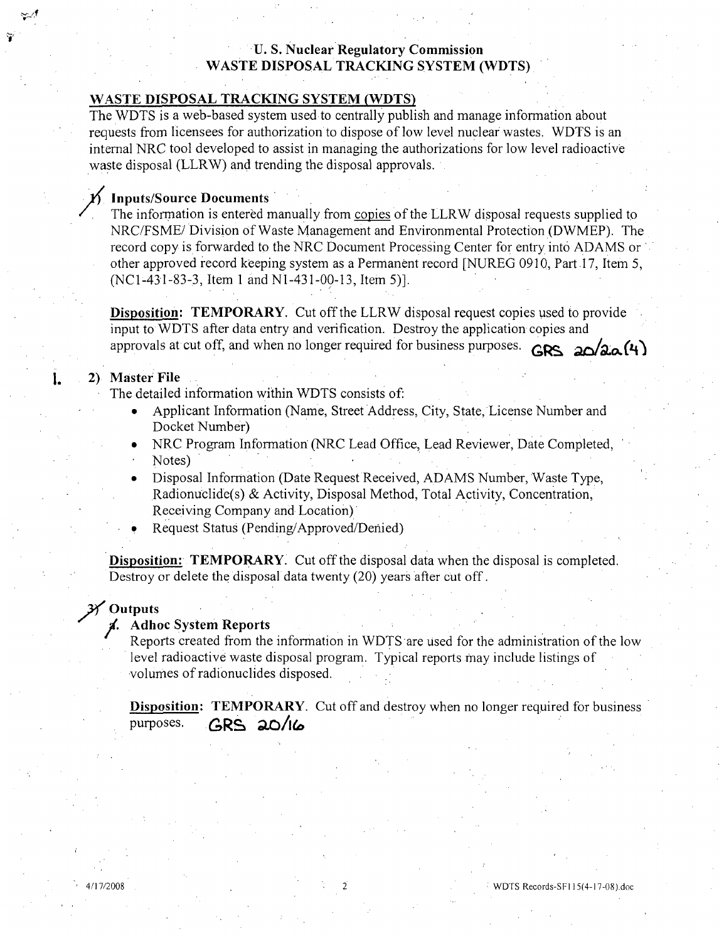# **U. S. Nuclear Regulatory Commission** WASTE **DISPOSAL** TRACKING SYSTEM (WDTS)

## WASTE **DISPOSAL** TRACKING SYSTEM (WDTS)

The WDTS is a web-based system used to centrally publish and manage information about requests from licensees for authorization to dispose of low level nuclear wastes. WDTS is an internal NRC tool developed to assist in managing the authorizations for low level radioactive waste disposal (LLRW) and trending the disposal approvals.

### / Inputs/Source Documents

The information is entered manually from copies of the LLRW disposal requests supplied to NRC/FSME/ Division of Waste Management and Environmental Protection (DWMEP). The record copy is forwarded to the NRC Document Processing Center for entry into ADAMS or other approved record keeping system as a Permanent record [NUREG 0910, Part .17, Item 5, (NCI-431-83-3, Item 1 and Nl-431-00-13, Item **5)].**

**Disposition: TEMPORARY.** Cut off the LLRW disposal request copies used to provide input to WDTS after data entry and verification. Destroy the application copies and approvals at cut off, and when no longer required for business purposes. **GRS**  $20/20(4)$ 

### j. 2) Master File

The detailed information within WDTS consists of:

- Applicant Information (Name, Street Address, City, State, License Number and Docket Number)
- NRC Program Information (NRC Lead Office, Lead Reviewer, Date Completed, Notes)
- \* Disposal Information (Date Request Received, ADAMS Number, Waste Type, Radionuclide(s) & Activity, Disposal Method, Total Activity, Concentration, Receiving Company and Location)
- Request Status (Pending/Approved/Denied)

Disposition: TEMPORARY. Cut off the disposal data when the disposal is completed. Destroy or delete the disposal data twenty  $(20)$  years after cut off,

## **>3<** Outputs

#### Adhoc System Reports

Reports created from the information in WDTS are used for the administration of the low level radioactive waste disposal program. Typical reports may include listings of 'volumes of radionuclides disposed.

**Disposition: TEMPORARY.** Cut off and destroy when no longer required for business purposes. **aRs ao/l&**